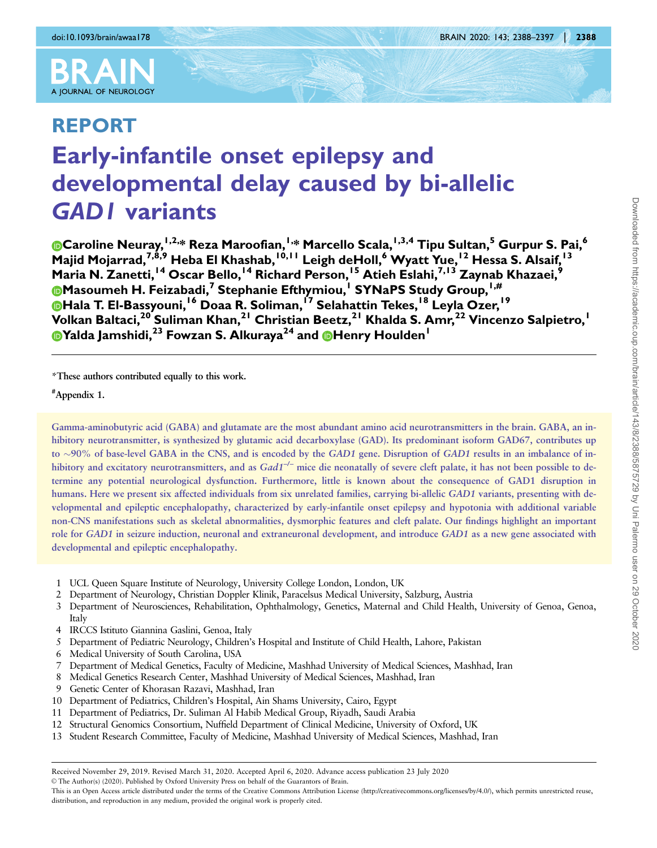

# REPORT Early-infantile onset epilepsy and developmental delay caused by bi-allelic GAD1 variants

Caroline Neuray,  $^{1,2,*}$  Reza Maroofian,  $^{1,*}$  Marcello Scala,  $^{1,3,4}$  Tipu Sultan, $^5$  Gurpur S. Pai, $^6$ Majid Mojarrad,<sup>7,8,9</sup> Heba El Khashab, <sup>10,11</sup> Leigh deHoll,<sup>6</sup> Wyatt Yue, <sup>12</sup> Hessa S. Alsaif, <sup>13</sup> Maria N. Zanetti, <sup>14</sup> Oscar Bello, <sup>14</sup> Richard Person, <sup>15</sup> Atieh Eslahi, <sup>7, 13</sup> Zaynab Khazaei, <sup>9</sup> Masoumeh H. Feizabadi,<sup>7</sup> Stephanie Efthymiou,<sup>1</sup> SYNaPS Study Group,<sup>1,#</sup> **Mala T. El-Bassyouni, <sup>16</sup> Doaa R. Soliman, <sup>17</sup> Selahattin Tekes, <sup>18</sup> Leyla Ozer, <sup>19</sup>**  $\,$ Volkan Baltaci, $^{20}$  Suliman Khan, $^{21}$  Christian Beetz, $^{21}$  Khalda S. Amr, $^{22}$  Vincenzo Salpietro, $^{1}$ Yalda Jamshidi,<sup>23</sup> Fowzan S. Alkuraya<sup>24</sup> and **@**Henry Houlden<sup>1</sup>

\*These authors contributed equally to this work.

# Appendix 1.

Gamma-aminobutyric acid (GABA) and glutamate are the most abundant amino acid neurotransmitters in the brain. GABA, an inhibitory neurotransmitter, is synthesized by glutamic acid decarboxylase (GAD). Its predominant isoform GAD67, contributes up to  $\sim$ 90% of base-level GABA in the CNS, and is encoded by the GAD1 gene. Disruption of GAD1 results in an imbalance of inhibitory and excitatory neurotransmitters, and as  $Gad1^{-/-}$  mice die neonatally of severe cleft palate, it has not been possible to determine any potential neurological dysfunction. Furthermore, little is known about the consequence of GAD1 disruption in humans. Here we present six affected individuals from six unrelated families, carrying bi-allelic GAD1 variants, presenting with developmental and epileptic encephalopathy, characterized by early-infantile onset epilepsy and hypotonia with additional variable non-CNS manifestations such as skeletal abnormalities, dysmorphic features and cleft palate. Our findings highlight an important role for GAD1 in seizure induction, neuronal and extraneuronal development, and introduce GAD1 as a new gene associated with developmental and epileptic encephalopathy.

- 1 UCL Queen Square Institute of Neurology, University College London, London, UK
- 2 Department of Neurology, Christian Doppler Klinik, Paracelsus Medical University, Salzburg, Austria
- 3 Department of Neurosciences, Rehabilitation, Ophthalmology, Genetics, Maternal and Child Health, University of Genoa, Genoa, Italy
- 4 IRCCS Istituto Giannina Gaslini, Genoa, Italy
- 5 Department of Pediatric Neurology, Children's Hospital and Institute of Child Health, Lahore, Pakistan
- 6 Medical University of South Carolina, USA
- 7 Department of Medical Genetics, Faculty of Medicine, Mashhad University of Medical Sciences, Mashhad, Iran
- 8 Medical Genetics Research Center, Mashhad University of Medical Sciences, Mashhad, Iran
- 9 Genetic Center of Khorasan Razavi, Mashhad, Iran
- 10 Department of Pediatrics, Children's Hospital, Ain Shams University, Cairo, Egypt
- 11 Department of Pediatrics, Dr. Suliman Al Habib Medical Group, Riyadh, Saudi Arabia
- 12 Structural Genomics Consortium, Nuffield Department of Clinical Medicine, University of Oxford, UK
- 13 Student Research Committee, Faculty of Medicine, Mashhad University of Medical Sciences, Mashhad, Iran

Received November 29, 2019. Revised March 31, 2020. Accepted April 6, 2020. Advance access publication 23 July 2020

V<sup>C</sup> The Author(s) (2020). Published by Oxford University Press on behalf of the Guarantors of Brain.

This is an Open Access article distributed under the terms of the Creative Commons Attribution License (http://creativecommons.org/licenses/by/4.0/), which permits unrestricted reuse, distribution, and reproduction in any medium, provided the original work is properly cited.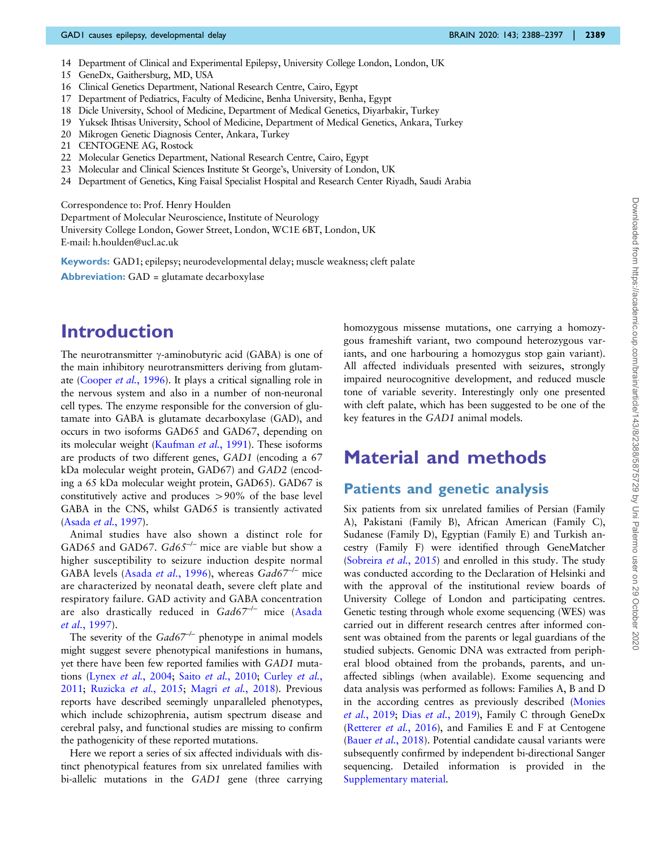- 14 Department of Clinical and Experimental Epilepsy, University College London, London, UK
- 15 GeneDx, Gaithersburg, MD, USA
- 16 Clinical Genetics Department, National Research Centre, Cairo, Egypt
- 17 Department of Pediatrics, Faculty of Medicine, Benha University, Benha, Egypt
- 18 Dicle University, School of Medicine, Department of Medical Genetics, Diyarbakir, Turkey
- 19 Yuksek Ihtisas University, School of Medicine, Department of Medical Genetics, Ankara, Turkey
- 20 Mikrogen Genetic Diagnosis Center, Ankara, Turkey
- 21 CENTOGENE AG, Rostock
- 22 Molecular Genetics Department, National Research Centre, Cairo, Egypt
- 23 Molecular and Clinical Sciences Institute St George's, University of London, UK
- 24 Department of Genetics, King Faisal Specialist Hospital and Research Center Riyadh, Saudi Arabia

Correspondence to: Prof. Henry Houlden

Department of Molecular Neuroscience, Institute of Neurology University College London, Gower Street, London, WC1E 6BT, London, UK E-mail: h.houlden@ucl.ac.uk

Keywords: GAD1; epilepsy; neurodevelopmental delay; muscle weakness; cleft palate **Abbreviation:** GAD = glutamate decarboxylase

### Introduction

The neurotransmitter  $\gamma$ -aminobutyric acid (GABA) is one of the main inhibitory neurotransmitters deriving from glutamate ([Cooper](#page-8-0) et al., 1996). It plays a critical signalling role in the nervous system and also in a number of non-neuronal cell types. The enzyme responsible for the conversion of glutamate into GABA is glutamate decarboxylase (GAD), and occurs in two isoforms GAD65 and GAD67, depending on its molecular weight ([Kaufman](#page-8-0) et al., 1991). These isoforms are products of two different genes, GAD1 (encoding a 67 kDa molecular weight protein, GAD67) and GAD2 (encoding a 65 kDa molecular weight protein, GAD65). GAD67 is constitutively active and produces  $> 90\%$  of the base level GABA in the CNS, whilst GAD65 is transiently activated (Asada et al.[, 1997\)](#page-8-0).

Animal studies have also shown a distinct role for GAD65 and GAD67.  $Gd65^{-/-}$  mice are viable but show a higher susceptibility to seizure induction despite normal GABA levels (Asada et al.[, 1996\)](#page-8-0), whereas  $Gad67^{-/-}$  mice are characterized by neonatal death, severe cleft plate and respiratory failure. GAD activity and GABA concentration are also drastically reduced in  $Gad67^{-/-}$  mice ([Asada](#page-8-0) et al.[, 1997](#page-8-0)).

The severity of the  $Gad67^{-/-}$  phenotype in animal models might suggest severe phenotypical manifestions in humans, yet there have been few reported families with GAD1 mutations (Lynex et al.[, 2004](#page-8-0); Saito et al.[, 2010;](#page-8-0) [Curley](#page-8-0) et al., [2011](#page-8-0); [Ruzicka](#page-8-0) et al., 2015; Magri et al.[, 2018\)](#page-8-0). Previous reports have described seemingly unparalleled phenotypes, which include schizophrenia, autism spectrum disease and cerebral palsy, and functional studies are missing to confirm the pathogenicity of these reported mutations.

Here we report a series of six affected individuals with distinct phenotypical features from six unrelated families with bi-allelic mutations in the GAD1 gene (three carrying homozygous missense mutations, one carrying a homozygous frameshift variant, two compound heterozygous variants, and one harbouring a homozygus stop gain variant). All affected individuals presented with seizures, strongly impaired neurocognitive development, and reduced muscle tone of variable severity. Interestingly only one presented with cleft palate, which has been suggested to be one of the key features in the GAD1 animal models.

### Material and methods

### Patients and genetic analysis

Six patients from six unrelated families of Persian (Family A), Pakistani (Family B), African American (Family C), Sudanese (Family D), Egyptian (Family E) and Turkish ancestry (Family F) were identified through GeneMatcher ([Sobreira](#page-8-0) et al., 2015) and enrolled in this study. The study was conducted according to the Declaration of Helsinki and with the approval of the institutional review boards of University College of London and participating centres. Genetic testing through whole exome sequencing (WES) was carried out in different research centres after informed consent was obtained from the parents or legal guardians of the studied subjects. Genomic DNA was extracted from peripheral blood obtained from the probands, parents, and unaffected siblings (when available). Exome sequencing and data analysis was performed as follows: Families A, B and D in the according centres as previously described ([Monies](#page-8-0) et al.[, 2019](#page-8-0); Dias et al.[, 2019](#page-8-0)), Family C through GeneDx ([Retterer](#page-8-0) et al., 2016), and Families E and F at Centogene (Bauer et al.[, 2018](#page-8-0)). Potential candidate causal variants were subsequently confirmed by independent bi-directional Sanger sequencing. Detailed information is provided in the [Supplementary material](https://academic.oup.com/brain/article-lookup/doi/10.1093/brain/awaa178#supplementary-data).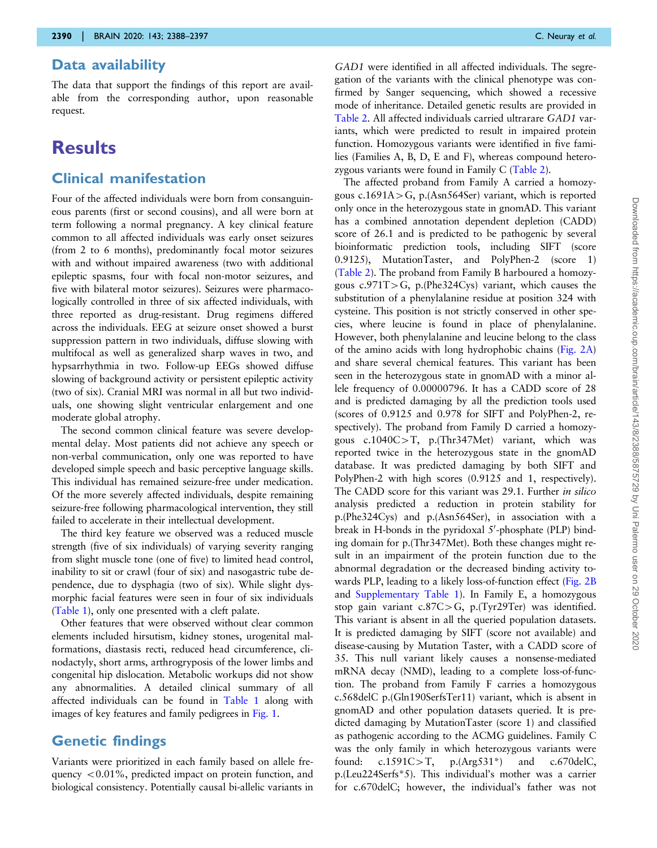#### Data availability

The data that support the findings of this report are available from the corresponding author, upon reasonable request.

### **Results**

### Clinical manifestation

Four of the affected individuals were born from consanguineous parents (first or second cousins), and all were born at term following a normal pregnancy. A key clinical feature common to all affected individuals was early onset seizures (from 2 to 6 months), predominantly focal motor seizures with and without impaired awareness (two with additional epileptic spasms, four with focal non-motor seizures, and five with bilateral motor seizures). Seizures were pharmacologically controlled in three of six affected individuals, with three reported as drug-resistant. Drug regimens differed across the individuals. EEG at seizure onset showed a burst suppression pattern in two individuals, diffuse slowing with multifocal as well as generalized sharp waves in two, and hypsarrhythmia in two. Follow-up EEGs showed diffuse slowing of background activity or persistent epileptic activity (two of six). Cranial MRI was normal in all but two individuals, one showing slight ventricular enlargement and one moderate global atrophy.

The second common clinical feature was severe developmental delay. Most patients did not achieve any speech or non-verbal communication, only one was reported to have developed simple speech and basic perceptive language skills. This individual has remained seizure-free under medication. Of the more severely affected individuals, despite remaining seizure-free following pharmacological intervention, they still failed to accelerate in their intellectual development.

The third key feature we observed was a reduced muscle strength (five of six individuals) of varying severity ranging from slight muscle tone (one of five) to limited head control, inability to sit or crawl (four of six) and nasogastric tube dependence, due to dysphagia (two of six). While slight dysmorphic facial features were seen in four of six individuals [\(Table 1\)](#page-3-0), only one presented with a cleft palate.

Other features that were observed without clear common elements included hirsutism, kidney stones, urogenital malformations, diastasis recti, reduced head circumference, clinodactyly, short arms, arthrogryposis of the lower limbs and congenital hip dislocation. Metabolic workups did not show any abnormalities. A detailed clinical summary of all affected individuals can be found in [Table 1](#page-3-0) along with images of key features and family pedigrees in [Fig. 1](#page-4-0).

### Genetic findings

Variants were prioritized in each family based on allele frequency  $< 0.01\%$ , predicted impact on protein function, and biological consistency. Potentially causal bi-allelic variants in GAD1 were identified in all affected individuals. The segregation of the variants with the clinical phenotype was confirmed by Sanger sequencing, which showed a recessive mode of inheritance. Detailed genetic results are provided in [Table 2](#page-5-0). All affected individuals carried ultrarare GAD1 variants, which were predicted to result in impaired protein function. Homozygous variants were identified in five families (Families A, B, D, E and F), whereas compound heterozygous variants were found in Family C [\(Table 2](#page-5-0)).

The affected proband from Family A carried a homozygous  $c.1691A > G$ , p.(Asn564Ser) variant, which is reported only once in the heterozygous state in gnomAD. This variant has a combined annotation dependent depletion (CADD) score of 26.1 and is predicted to be pathogenic by several bioinformatic prediction tools, including SIFT (score 0.9125), MutationTaster, and PolyPhen-2 (score 1) [\(Table 2](#page-5-0)). The proband from Family B harboured a homozygous  $c.971T>G$ , p.(Phe324Cys) variant, which causes the substitution of a phenylalanine residue at position 324 with cysteine. This position is not strictly conserved in other species, where leucine is found in place of phenylalanine. However, both phenylalanine and leucine belong to the class of the amino acids with long hydrophobic chains [\(Fig. 2A\)](#page-6-0) and share several chemical features. This variant has been seen in the heterozygous state in gnomAD with a minor allele frequency of 0.00000796. It has a CADD score of 28 and is predicted damaging by all the prediction tools used (scores of 0.9125 and 0.978 for SIFT and PolyPhen-2, respectively). The proband from Family D carried a homozygous  $c.1040C>T$ , p.(Thr347Met) variant, which was reported twice in the heterozygous state in the gnomAD database. It was predicted damaging by both SIFT and PolyPhen-2 with high scores (0.9125 and 1, respectively). The CADD score for this variant was 29.1. Further in silico analysis predicted a reduction in protein stability for p.(Phe324Cys) and p.(Asn564Ser), in association with a break in H-bonds in the pyridoxal 5'-phosphate (PLP) binding domain for p.(Thr347Met). Both these changes might result in an impairment of the protein function due to the abnormal degradation or the decreased binding activity towards PLP, leading to a likely loss-of-function effect [\(Fig. 2B](#page-6-0) and [Supplementary Table 1](https://academic.oup.com/brain/article-lookup/doi/10.1093/brain/awaa178#supplementary-data)). In Family E, a homozygous stop gain variant  $c.87C > G$ , p.(Tyr29Ter) was identified. This variant is absent in all the queried population datasets. It is predicted damaging by SIFT (score not available) and disease-causing by Mutation Taster, with a CADD score of 35. This null variant likely causes a nonsense-mediated mRNA decay (NMD), leading to a complete loss-of-function. The proband from Family F carries a homozygous c.568delC p.(Gln190SerfsTer11) variant, which is absent in gnomAD and other population datasets queried. It is predicted damaging by MutationTaster (score 1) and classified as pathogenic according to the ACMG guidelines. Family C was the only family in which heterozygous variants were found:  $c.1591C > T$ ,  $p.(Arg531*)$  and  $c.670$ delC, p.(Leu224Serfs\*5). This individual's mother was a carrier for c.670delC; however, the individual's father was not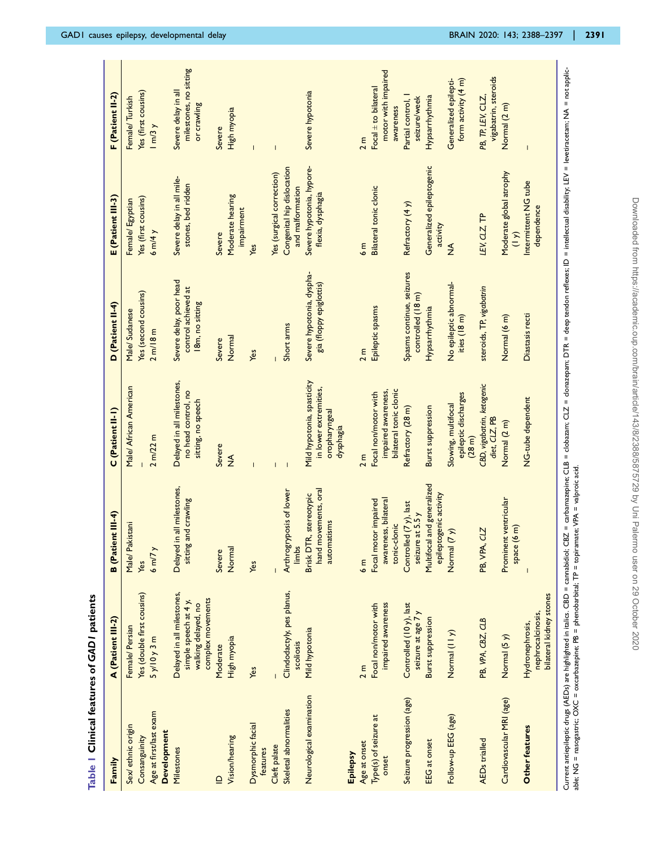<span id="page-3-0"></span>

| Family                         | A (Patient III-2)                                               | <b>B</b> (Patient III-4)                                      | C (Patient II-I)                                                                  | D (Patient II-4)                                     | E (Patient III-3)                              | F (Patient II-2)                                         |
|--------------------------------|-----------------------------------------------------------------|---------------------------------------------------------------|-----------------------------------------------------------------------------------|------------------------------------------------------|------------------------------------------------|----------------------------------------------------------|
|                                |                                                                 |                                                               |                                                                                   |                                                      |                                                |                                                          |
| Sex/ethnic origin              | Female/Persian                                                  | Male/ Pakistani                                               | Male/ African American                                                            | Male/Sudanese                                        | Female/Egyptian                                | Female/Turkish                                           |
| Consanguinity                  | Yes (double first cousins)                                      | Yes                                                           |                                                                                   | Yes (second cousins)                                 | Yes (first cousins)                            | Yes (first cousins)                                      |
| Age at first/last exam         | 5y/10y3m                                                        | $6 \frac{m}{7}$                                               | $2 \, \text{m}/22 \, \text{m}$                                                    | 2 m/18 m                                             | $6 \text{ m/4}$                                | 1 m/3 y                                                  |
| Development                    |                                                                 |                                                               |                                                                                   |                                                      |                                                |                                                          |
| Milestones                     | Delayed in all milestones,                                      | Delayed in all milestones,                                    | Delayed in all milestones,                                                        | Severe delay, poor head                              | Severe delay in all mile-                      | Severe delay in all                                      |
|                                | simple speech at 4 y,<br>walking delayed, no                    | sitting and crawling                                          | no head control, no<br>sitting, no speech                                         | control achieved at<br>18m, no sitting               | stones, bed ridden                             | milestones, no sitting<br>or crawling                    |
|                                | complex movements                                               |                                                               |                                                                                   |                                                      |                                                |                                                          |
| $\mathbf{r}$                   | Moderate                                                        | Severe                                                        | Severe                                                                            | Severe                                               | Severe                                         | Severe                                                   |
| Vision/hearing                 | High myopia                                                     | Normal                                                        | $\frac{1}{2}$                                                                     | Normal                                               | Moderate hearing<br>impairment                 | High myopia                                              |
| Dysmorphic facial<br>features  | Yes                                                             | Yes                                                           |                                                                                   | Yes                                                  | Yes                                            | $\overline{1}$                                           |
| Cleft palate                   |                                                                 |                                                               |                                                                                   |                                                      | Yes (surgical correction)                      | $\begin{array}{c} \hline \end{array}$                    |
| Skeletal abnormalities         | Clindodactyly, pes planus,<br>scoliosis                         | posis of lower<br>Arthrogry<br>limbs                          | $\overline{\phantom{a}}$                                                          | Short arms                                           | Congenital hip dislocation<br>and malformation |                                                          |
| Neurological examination       | Mild hypotonia                                                  | hand movements, oral<br>Brisk DTR, stereotypic<br>automatisms | Mild hypotonia, spasticity<br>in lower extremities,<br>oropharyngeal<br>dysphagia | Severe hypotonia, dyspha-<br>gia (floppy epiglottis) | Severe hypotonia, hypore-<br>flexia, dysphagia | Severe hypotonia                                         |
| Epilepsy                       |                                                                 |                                                               |                                                                                   |                                                      |                                                |                                                          |
| Age at onset                   | 2 m                                                             | $\frac{E}{2}$                                                 | 2 m                                                                               | 2 m                                                  | $\frac{E}{2}$                                  | 2 <sub>m</sub>                                           |
| Type(s) of seizure at<br>onset | impaired awareness<br>Focal non/motor with                      | Focal motor impaired<br>awareness, bilateral<br>tonic-clonic  | bilateral tonic clonic<br>impaired awareness,<br>Focal non/motor with             | Epileptic spasms                                     | <b>Bilateral tonic clonic</b>                  | motor with impaired<br>Focal ± to bilateral<br>awareness |
| Seizure progression (age)      | Controlled (10 y), last<br>seizure at age 7 y                   | Controlled (7 y), last<br>seizure at 5.5 y                    | Refractory (28 m)                                                                 | Spasms continue, seizures<br>controlled (18 m)       | Refractory (4 y)                               | Partial control, I<br>seizure/week                       |
| <b>EEG</b> at onset            | <b>Burst suppression</b>                                        | Multifocal and generalized<br>epileptogenic activity          | <b>Burst suppression</b>                                                          | Hypsarrhythmia                                       | Generalized epileptogenic<br>activity          | Hypsarrhythmia                                           |
| Follow-up EEG (age)            | Normal (II y)                                                   | Normal (7 y)                                                  | epileptic discharges<br>Slowing, multifocal<br>(28 <sub>m</sub> )                 | No epileptic abnormal-<br>ities (18 m)               | $\frac{1}{2}$                                  | form activity (4 m)<br>Generalized epilepti-             |
| <b>AEDs</b> trialled           | PB, VPA, CBZ, CLB                                               | PB, VPA, CLZ                                                  | CBD, vigabatrin, ketogenic<br>diet, CLZ, PB                                       | steroids, TP, vigabatrin                             | LEV, CLZ, TP                                   | vigabatrin, steroids<br>PB, TP, LEV, CLZ,                |
| Cardiovascular MRI (age)       | Normal (5 y)                                                    | Prominent ventricular<br>space (6 m)                          | Normal (2 m)                                                                      | Normal (6 m)                                         | Moderate global atrophy<br>(1)                 | Normal (2 m)                                             |
| Other features                 | bilateral kidney stones<br>nephrocalcinosis,<br>Hydronephrosis, |                                                               | NG-tube dependent                                                                 | Diastasis recti                                      | Intermittent NG tube<br>dependence             | $\overline{1}$                                           |
|                                |                                                                 |                                                               |                                                                                   |                                                      |                                                |                                                          |

Current antiepileptic drugs (AEDs) are highlighted in italics. CBD = cannabidiol; CBZ = carbanzepine; CLB = clobazam; CLZ = clonazepam; DTR = deep tendon reflexes; ID = intellectual disability; LEV = levetiracetam; NA = no Current antieplieptic drugs (AEDs) are highlighted in italics. CBD = cannabidiol; CBZ = carbamazepine; CLB = clobazam; CLZ = donazepam; DTR = deep tendon reflexes; ID = intellectual disabilicy. LEV = levetiracetam; NA = n able; NG = nasogastric; OXC = oxcarbazepine; PB = phenobarbital; TP = topiramate; VPA = valproic acid.

Table 1 Clinical features of GAD1 patients

Table | Clinical features of GADI patients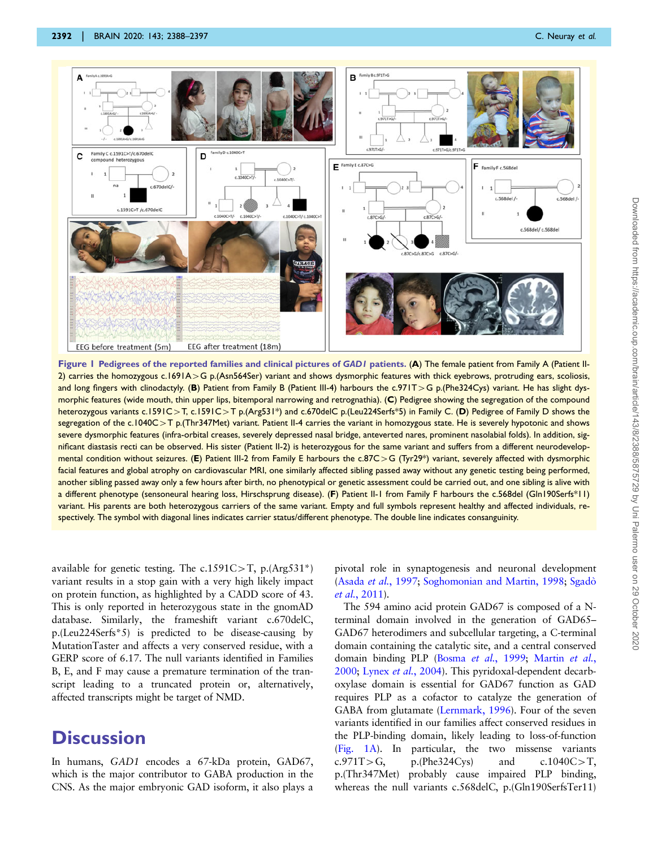<span id="page-4-0"></span>

Figure 1 Pedigrees of the reported families and clinical pictures of GAD1 patients. (A) The female patient from Family A (Patient II-2) carries the homozygous c.1691A $>$ G p.(Asn564Ser) variant and shows dysmorphic features with thick eyebrows, protruding ears, scoliosis, and long fingers with clinodactyly. (B) Patient from Family B (Patient III-4) harbours the c.971T>G p.(Phe324Cys) variant. He has slight dysmorphic features (wide mouth, thin upper lips, bitemporal narrowing and retrognathia). (C) Pedigree showing the segregation of the compound heterozygous variants c.1591C>T, c.1591C>T p.(Arg531\*) and c.670delC p.(Leu224Serfs\*5) in Family C. (D) Pedigree of Family D shows the segregation of the c.1040C $>$ T p.(Thr347Met) variant. Patient II-4 carries the variant in homozygous state. He is severely hypotonic and shows severe dysmorphic features (infra-orbital creases, severely depressed nasal bridge, anteverted nares, prominent nasolabial folds). In addition, significant diastasis recti can be observed. His sister (Patient II-2) is heterozygous for the same variant and suffers from a different neurodevelopmental condition without seizures. (E) Patient III-2 from Family E harbours the c.87C > G (Tyr29\*) variant, severely affected with dysmorphic facial features and global atrophy on cardiovascular MRI, one similarly affected sibling passed away without any genetic testing being performed, another sibling passed away only a few hours after birth, no phenotypical or genetic assessment could be carried out, and one sibling is alive with a different phenotype (sensoneural hearing loss, Hirschsprung disease). (F) Patient II-1 from Family F harbours the c.568del (Gln190Serfs\*11) variant. His parents are both heterozygous carriers of the same variant. Empty and full symbols represent healthy and affected individuals, respectively. The symbol with diagonal lines indicates carrier status/different phenotype. The double line indicates consanguinity.

available for genetic testing. The c.1591C>T, p.(Arg531\*) variant results in a stop gain with a very high likely impact on protein function, as highlighted by a CADD score of 43. This is only reported in heterozygous state in the gnomAD database. Similarly, the frameshift variant c.670delC, p.(Leu224Serfs\*5) is predicted to be disease-causing by MutationTaster and affects a very conserved residue, with a GERP score of 6.17. The null variants identified in Families B, E, and F may cause a premature termination of the transcript leading to a truncated protein or, alternatively, affected transcripts might be target of NMD.

## **Discussion**

In humans, GAD1 encodes a 67-kDa protein, GAD67, which is the major contributor to GABA production in the CNS. As the major embryonic GAD isoform, it also plays a

pivotal role in synaptogenesis and neuronal development (Asada *et al.*[, 1997](#page-8-0); [Soghomonian and Martin, 1998;](#page-9-0) Sgadò et al.[, 2011\)](#page-8-0).

The 594 amino acid protein GAD67 is composed of a Nterminal domain involved in the generation of GAD65– GAD67 heterodimers and subcellular targeting, a C-terminal domain containing the catalytic site, and a central conserved domain binding PLP (Bosma et al.[, 1999](#page-8-0); [Martin](#page-8-0) et al., [2000;](#page-8-0) Lynex et al.[, 2004\)](#page-8-0). This pyridoxal-dependent decarboxylase domain is essential for GAD67 function as GAD requires PLP as a cofactor to catalyze the generation of GABA from glutamate [\(Lernmark, 1996](#page-8-0)). Four of the seven variants identified in our families affect conserved residues in the PLP-binding domain, likely leading to loss-of-function (Fig. 1A). In particular, the two missense variants c.971T > G, p.(Phe324Cys) and c.1040C > T, p.(Thr347Met) probably cause impaired PLP binding, whereas the null variants c.568delC, p.(Gln190SerfsTer11)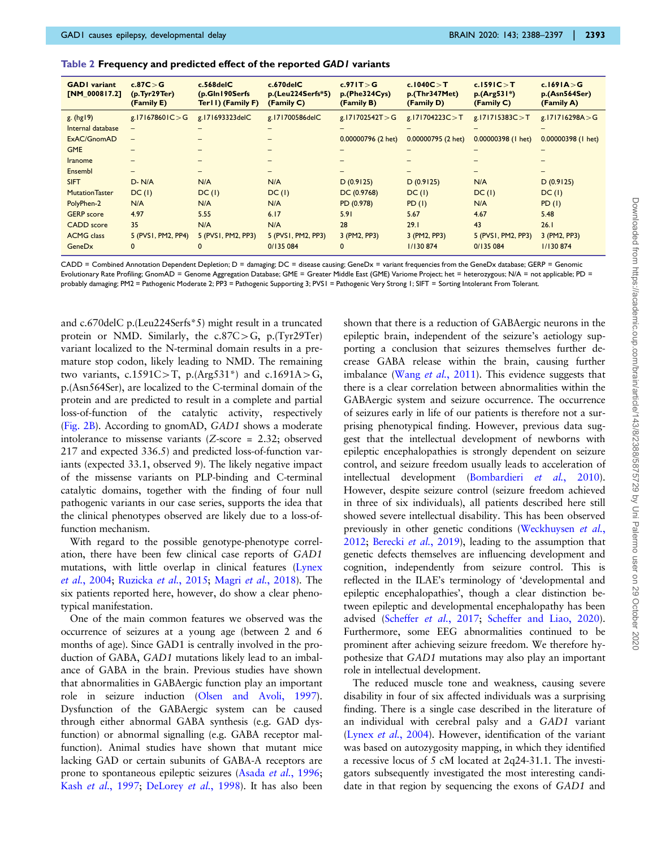<span id="page-5-0"></span>

| Table 2 Frequency and predicted effect of the reported GAD I variants |  |  |  |  |
|-----------------------------------------------------------------------|--|--|--|--|
|-----------------------------------------------------------------------|--|--|--|--|

| <b>GADI</b> variant<br>[NM_000817.2] | c.87C > G<br>(p.Tyr29Ter)<br>(Family E) | $c.568$ del $C$<br>(p.Gln190Serfs)<br>Ter II) (Family F) | $c.670$ del $C$<br>p.(Leu224Serfs*5)<br>(Family C) | c.971T > G<br>p.(Phe324Cys)<br>(Family B) | c.1040C > T<br>p.(Thr347Met)<br>(Family D) | c.1591C > T<br>$p.(Arg531*)$<br>(Family C) | c.169 $IA > G$<br>p.(Asn564Ser)<br>(Family A) |
|--------------------------------------|-----------------------------------------|----------------------------------------------------------|----------------------------------------------------|-------------------------------------------|--------------------------------------------|--------------------------------------------|-----------------------------------------------|
| $g.$ (hg $19$ )                      | g.171678601C $>$ G                      | g.171693323delC                                          | g.171700586delC                                    | g.171702542T > G                          | g.171704223C $>$ T                         | g.171715383C > T                           | g.171716298A $>$ G                            |
| Internal database                    | -                                       |                                                          |                                                    |                                           |                                            |                                            |                                               |
| ExAC/GnomAD                          |                                         |                                                          |                                                    | 0.00000796 (2 het)                        | 0.00000795 (2 het)                         | $0.00000398$ (1 het)                       | $0.00000398$ (1 het)                          |
| <b>GME</b>                           |                                         |                                                          |                                                    |                                           |                                            |                                            |                                               |
| <b>Iranome</b>                       |                                         |                                                          |                                                    |                                           |                                            |                                            |                                               |
| Ensembl                              |                                         | -                                                        |                                                    |                                           |                                            | $\overline{\phantom{0}}$                   |                                               |
| <b>SIFT</b>                          | $D - N/A$                               | N/A                                                      | N/A                                                | D(0.9125)                                 | D(0.9125)                                  | N/A                                        | D(0.9125)                                     |
| <b>Mutation Taster</b>               | DC(1)                                   | DC(1)                                                    | DC(1)                                              | DC (0.9768)                               | DC(1)                                      | DC(1)                                      | DC(1)                                         |
| PolyPhen-2                           | N/A                                     | N/A                                                      | N/A                                                | PD (0.978)                                | PD(1)                                      | N/A                                        | PD(1)                                         |
| <b>GERP</b> score                    | 4.97                                    | 5.55                                                     | 6.17                                               | 5.91                                      | 5.67                                       | 4.67                                       | 5.48                                          |
| <b>CADD</b> score                    | 35                                      | N/A                                                      | N/A                                                | 28                                        | 29.1                                       | 43                                         | 26.1                                          |
| <b>ACMG</b> class                    | 5 (PVSI, PM2, PP4)                      | 5 (PVS1, PM2, PP3)                                       | 5 (PVS1, PM2, PP3)                                 | 3 (PM2, PP3)                              | 3 (PM2, PP3)                               | 5 (PVS1, PM2, PP3)                         | 3 (PM2, PP3)                                  |
| GeneDx                               | $\mathbf{0}$                            |                                                          | 0/135 084                                          | $\mathbf{0}$                              | 1/130 874                                  | 0/135 084                                  | 1/130 874                                     |

CADD = Combined Annotation Dependent Depletion; D = damaging; DC = disease causing; GeneDx = variant frequencies from the GeneDx database; GERP = Genomic Evolutionary Rate Profiling; GnomAD = Genome Aggregation Database; GME = Greater Middle East (GME) Variome Project; het = heterozygous; N/A = not applicable; PD = probably damaging; PM2 = Pathogenic Moderate 2; PP3 = Pathogenic Supporting 3; PVS1 = Pathogenic Very Strong 1; SIFT = Sorting Intolerant From Tolerant.

and c.670delC p.(Leu224Serfs\*5) might result in a truncated protein or NMD. Similarly, the  $c.87C > G$ , p.(Tyr29Ter) variant localized to the N-terminal domain results in a premature stop codon, likely leading to NMD. The remaining two variants, c.1591C>T, p.(Arg531\*) and c.1691A>G, p.(Asn564Ser), are localized to the C-terminal domain of the protein and are predicted to result in a complete and partial loss-of-function of the catalytic activity, respectively ([Fig. 2B\)](#page-6-0). According to gnomAD, GAD1 shows a moderate intolerance to missense variants (Z-score = 2.32; observed 217 and expected 336.5) and predicted loss-of-function variants (expected 33.1, observed 9). The likely negative impact of the missense variants on PLP-binding and C-terminal catalytic domains, together with the finding of four null pathogenic variants in our case series, supports the idea that the clinical phenotypes observed are likely due to a loss-offunction mechanism.

With regard to the possible genotype-phenotype correlation, there have been few clinical case reports of GAD1 mutations, with little overlap in clinical features ([Lynex](#page-8-0) et al.[, 2004](#page-8-0); [Ruzicka](#page-8-0) et al., 2015; Magri et al.[, 2018\)](#page-8-0). The six patients reported here, however, do show a clear phenotypical manifestation.

One of the main common features we observed was the occurrence of seizures at a young age (between 2 and 6 months of age). Since GAD1 is centrally involved in the production of GABA, GAD1 mutations likely lead to an imbalance of GABA in the brain. Previous studies have shown that abnormalities in GABAergic function play an important role in seizure induction ([Olsen and Avoli, 1997](#page-8-0)). Dysfunction of the GABAergic system can be caused through either abnormal GABA synthesis (e.g. GAD dysfunction) or abnormal signalling (e.g. GABA receptor malfunction). Animal studies have shown that mutant mice lacking GAD or certain subunits of GABA-A receptors are prone to spontaneous epileptic seizures (Asada et al.[, 1996](#page-8-0); Kash et al.[, 1997;](#page-8-0) [DeLorey](#page-8-0) et al., 1998). It has also been

shown that there is a reduction of GABAergic neurons in the epileptic brain, independent of the seizure's aetiology supporting a conclusion that seizures themselves further decrease GABA release within the brain, causing further imbalance (Wang et al.[, 2011\)](#page-9-0). This evidence suggests that there is a clear correlation between abnormalities within the GABAergic system and seizure occurrence. The occurrence of seizures early in life of our patients is therefore not a surprising phenotypical finding. However, previous data suggest that the intellectual development of newborns with epileptic encephalopathies is strongly dependent on seizure control, and seizure freedom usually leads to acceleration of intellectual development [\(Bombardieri](#page-8-0) et al., 2010). However, despite seizure control (seizure freedom achieved in three of six individuals), all patients described here still showed severe intellectual disability. This has been observed previously in other genetic conditions [\(Weckhuysen](#page-9-0) et al., [2012](#page-9-0); [Berecki](#page-8-0) et al., 2019), leading to the assumption that genetic defects themselves are influencing development and cognition, independently from seizure control. This is reflected in the ILAE's terminology of 'developmental and epileptic encephalopathies', though a clear distinction between epileptic and developmental encephalopathy has been advised ([Scheffer](#page-8-0) et al., 2017; [Scheffer and Liao, 2020\)](#page-8-0). Furthermore, some EEG abnormalities continued to be prominent after achieving seizure freedom. We therefore hypothesize that GAD1 mutations may also play an important role in intellectual development.

The reduced muscle tone and weakness, causing severe disability in four of six affected individuals was a surprising finding. There is a single case described in the literature of an individual with cerebral palsy and a GAD1 variant (Lynex et al.[, 2004\)](#page-8-0). However, identification of the variant was based on autozygosity mapping, in which they identified a recessive locus of 5 cM located at 2q24-31.1. The investigators subsequently investigated the most interesting candidate in that region by sequencing the exons of GAD1 and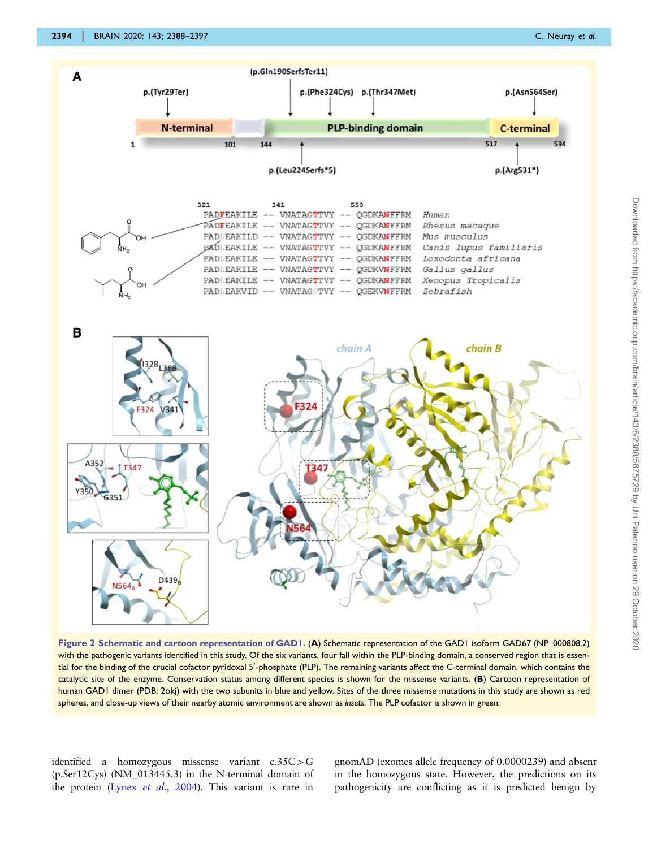<span id="page-6-0"></span>

Figure 2 Schematic and cartoon representation of GAD1. (A) Schematic representation of the GAD1 isoform GAD67 (NP\_000808.2) with the pathogenic variants identified in this study. Of the six variants, four fall within the PLP-binding domain, a conserved region that is essential for the binding of the crucial cofactor pyridoxal 5'-phosphate (PLP). The remaining variants affect the C-terminal domain, which contains the catalytic site of the enzyme. Conservation status among different species is shown for the missense variants. (B) Cartoon representation of human GAD1 dimer (PDB: 2okj) with the two subunits in blue and yellow. Sites of the three missense mutations in this study are shown as red spheres, and close-up views of their nearby atomic environment are shown as insets. The PLP cofactor is shown in green.

identified a homozygous missense variant  $c.35C > G$ (p.Ser12Cys) (NM\_013445.3) in the N-terminal domain of the protein (Lynex et al.[, 2004\)](#page-8-0). This variant is rare in gnomAD (exomes allele frequency of 0.0000239) and absent in the homozygous state. However, the predictions on its pathogenicity are conflicting as it is predicted benign by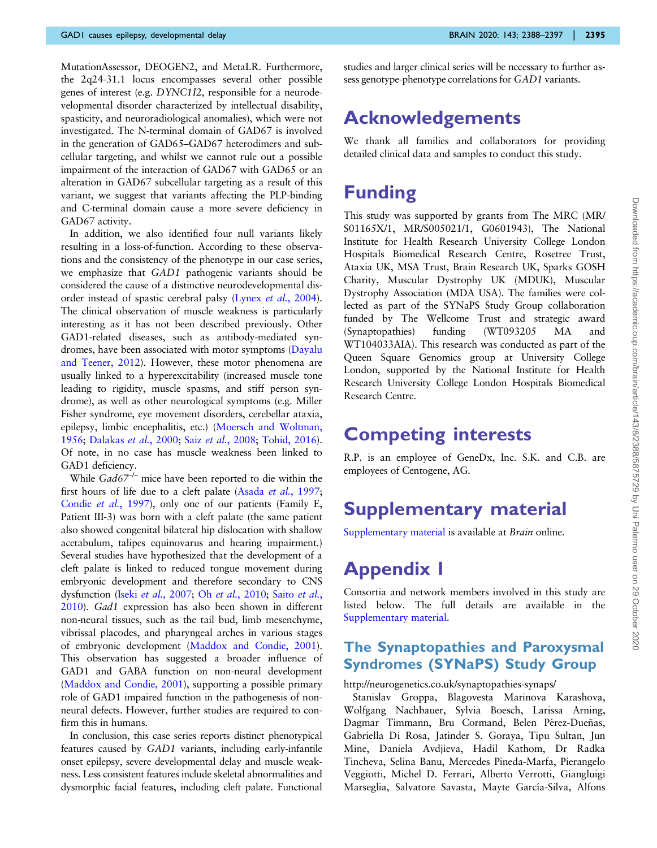MutationAssessor, DEOGEN2, and MetaLR. Furthermore, the 2q24-31.1 locus encompasses several other possible genes of interest (e.g. DYNC1I2, responsible for a neurodevelopmental disorder characterized by intellectual disability, spasticity, and neuroradiological anomalies), which were not investigated. The N-terminal domain of GAD67 is involved in the generation of GAD65–GAD67 heterodimers and subcellular targeting, and whilst we cannot rule out a possible impairment of the interaction of GAD67 with GAD65 or an alteration in GAD67 subcellular targeting as a result of this variant, we suggest that variants affecting the PLP-binding and C-terminal domain cause a more severe deficiency in GAD67 activity.

In addition, we also identified four null variants likely resulting in a loss-of-function. According to these observations and the consistency of the phenotype in our case series, we emphasize that GAD1 pathogenic variants should be considered the cause of a distinctive neurodevelopmental disorder instead of spastic cerebral palsy (Lynex et al.[, 2004](#page-8-0)). The clinical observation of muscle weakness is particularly interesting as it has not been described previously. Other GAD1-related diseases, such as antibody-mediated syndromes, have been associated with motor symptoms ([Dayalu](#page-8-0) [and Teener, 2012\)](#page-8-0). However, these motor phenomena are usually linked to a hyperexcitability (increased muscle tone leading to rigidity, muscle spasms, and stiff person syndrome), as well as other neurological symptoms (e.g. Miller Fisher syndrome, eye movement disorders, cerebellar ataxia, epilepsy, limbic encephalitis, etc.) [\(Moersch and Woltman,](#page-8-0) [1956](#page-8-0); [Dalakas](#page-8-0) et al., 2000; Saiz et al.[, 2008](#page-8-0); [Tohid, 2016](#page-9-0)). Of note, in no case has muscle weakness been linked to GAD1 deficiency.

While  $Gad67^{-/-}$  mice have been reported to die within the first hours of life due to a cleft palate (Asada et al.[, 1997](#page-8-0); [Condie](#page-8-0) et al., 1997), only one of our patients (Family E, Patient III-3) was born with a cleft palate (the same patient also showed congenital bilateral hip dislocation with shallow acetabulum, talipes equinovarus and hearing impairment.) Several studies have hypothesized that the development of a cleft palate is linked to reduced tongue movement during embryonic development and therefore secondary to CNS dysfunction (Iseki et al.[, 2007;](#page-8-0) Oh et al.[, 2010](#page-8-0); Saito [et al.](#page-8-0), [2010](#page-8-0)). Gad1 expression has also been shown in different non-neural tissues, such as the tail bud, limb mesenchyme, vibrissal placodes, and pharyngeal arches in various stages of embryonic development [\(Maddox and Condie, 2001](#page-8-0)). This observation has suggested a broader influence of GAD1 and GABA function on non-neural development ([Maddox and Condie, 2001\)](#page-8-0), supporting a possible primary role of GAD1 impaired function in the pathogenesis of nonneural defects. However, further studies are required to confirm this in humans.

In conclusion, this case series reports distinct phenotypical features caused by GAD1 variants, including early-infantile onset epilepsy, severe developmental delay and muscle weakness. Less consistent features include skeletal abnormalities and dysmorphic facial features, including cleft palate. Functional

studies and larger clinical series will be necessary to further assess genotype-phenotype correlations for GAD1 variants.

# Acknowledgements

We thank all families and collaborators for providing detailed clinical data and samples to conduct this study.

# Funding

This study was supported by grants from The MRC (MR/ S01165X/1, MR/S005021/1, G0601943), The National Institute for Health Research University College London Hospitals Biomedical Research Centre, Rosetree Trust, Ataxia UK, MSA Trust, Brain Research UK, Sparks GOSH Charity, Muscular Dystrophy UK (MDUK), Muscular Dystrophy Association (MDA USA). The families were collected as part of the SYNaPS Study Group collaboration funded by The Wellcome Trust and strategic award (Synaptopathies) funding (WT093205 MA and WT104033AIA). This research was conducted as part of the Queen Square Genomics group at University College London, supported by the National Institute for Health Research University College London Hospitals Biomedical Research Centre.

# Competing interests

R.P. is an employee of GeneDx, Inc. S.K. and C.B. are employees of Centogene, AG.

# Supplementary material

[Supplementary material](https://academic.oup.com/brain/article-lookup/doi/10.1093/brain/awaa178#supplementary-data) is available at Brain online.

# Appendix 1

Consortia and network members involved in this study are listed below. The full details are available in the [Supplementary material](https://academic.oup.com/brain/article-lookup/doi/10.1093/brain/awaa178#supplementary-data).

### The Synaptopathies and Paroxysmal Syndromes (SYNaPS) Study Group

#### <http://neurogenetics.co.uk/synaptopathies-synaps/>

Stanislav Groppa, Blagovesta Marinova Karashova, Wolfgang Nachbauer, Sylvia Boesch, Larissa Arning, Dagmar Timmann, Bru Cormand, Belen Pérez-Dueñas, Gabriella Di Rosa, Jatinder S. Goraya, Tipu Sultan, Jun Mine, Daniela Avdjieva, Hadil Kathom, Dr Radka Tincheva, Selina Banu, Mercedes Pineda-Marfa, Pierangelo Veggiotti, Michel D. Ferrari, Alberto Verrotti, Giangluigi Marseglia, Salvatore Savasta, Mayte García-Silva, Alfons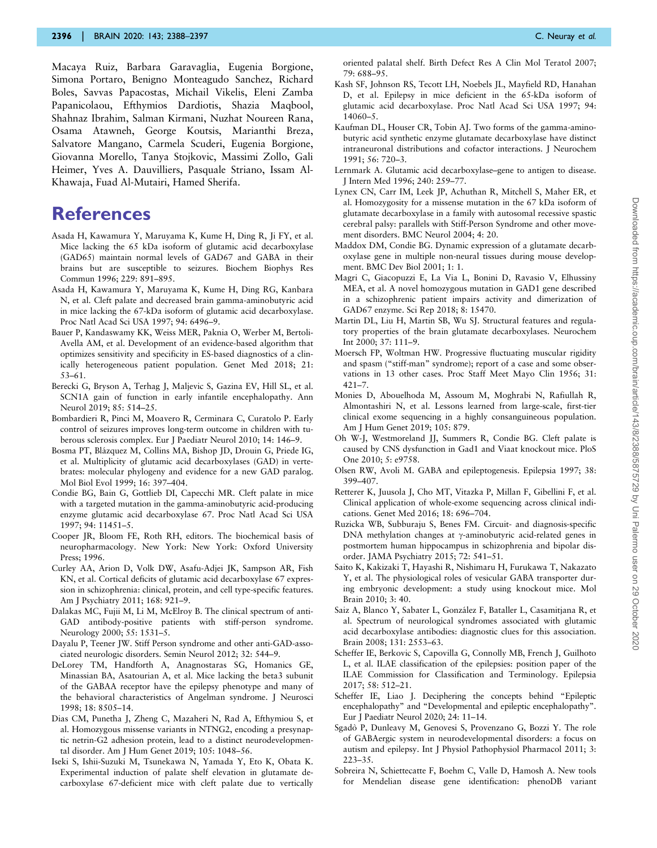<span id="page-8-0"></span>Macaya Ruiz, Barbara Garavaglia, Eugenia Borgione, Simona Portaro, Benigno Monteagudo Sanchez, Richard Boles, Savvas Papacostas, Michail Vikelis, Eleni Zamba Papanicolaou, Efthymios Dardiotis, Shazia Maqbool, Shahnaz Ibrahim, Salman Kirmani, Nuzhat Noureen Rana, Osama Atawneh, George Koutsis, Marianthi Breza, Salvatore Mangano, Carmela Scuderi, Eugenia Borgione, Giovanna Morello, Tanya Stojkovic, Massimi Zollo, Gali Heimer, Yves A. Dauvilliers, Pasquale Striano, Issam Al-Khawaja, Fuad Al-Mutairi, Hamed Sherifa.

### **References**

- Asada H, Kawamura Y, Maruyama K, Kume H, Ding R, Ji FY, et al. Mice lacking the 65 kDa isoform of glutamic acid decarboxylase (GAD65) maintain normal levels of GAD67 and GABA in their brains but are susceptible to seizures. Biochem Biophys Res Commun 1996; 229: 891–895.
- Asada H, Kawamura Y, Maruyama K, Kume H, Ding RG, Kanbara N, et al. Cleft palate and decreased brain gamma-aminobutyric acid in mice lacking the 67-kDa isoform of glutamic acid decarboxylase. Proc Natl Acad Sci USA 1997; 94: 6496–9.
- Bauer P, Kandaswamy KK, Weiss MER, Paknia O, Werber M, Bertoli-Avella AM, et al. Development of an evidence-based algorithm that optimizes sensitivity and specificity in ES-based diagnostics of a clinically heterogeneous patient population. Genet Med 2018; 21: 53–61.
- Berecki G, Bryson A, Terhag J, Maljevic S, Gazina EV, Hill SL, et al. SCN1A gain of function in early infantile encephalopathy. Ann Neurol 2019; 85: 514–25.
- Bombardieri R, Pinci M, Moavero R, Cerminara C, Curatolo P. Early control of seizures improves long-term outcome in children with tuberous sclerosis complex. Eur J Paediatr Neurol 2010; 14: 146–9.
- Bosma PT, Blázquez M, Collins MA, Bishop JD, Drouin G, Priede IG, et al. Multiplicity of glutamic acid decarboxylases (GAD) in vertebrates: molecular phylogeny and evidence for a new GAD paralog. Mol Biol Evol 1999; 16: 397–404.
- Condie BG, Bain G, Gottlieb DI, Capecchi MR. Cleft palate in mice with a targeted mutation in the gamma-aminobutyric acid-producing enzyme glutamic acid decarboxylase 67. Proc Natl Acad Sci USA 1997; 94: 11451–5.
- Cooper JR, Bloom FE, Roth RH, editors. The biochemical basis of neuropharmacology. New York: New York: Oxford University Press; 1996.
- Curley AA, Arion D, Volk DW, Asafu-Adjei JK, Sampson AR, Fish KN, et al. Cortical deficits of glutamic acid decarboxylase 67 expression in schizophrenia: clinical, protein, and cell type-specific features. Am J Psychiatry 2011; 168: 921–9.
- Dalakas MC, Fujii M, Li M, McElroy B. The clinical spectrum of anti-GAD antibody-positive patients with stiff-person syndrome. Neurology 2000; 55: 1531–5.
- Dayalu P, Teener JW. Stiff Person syndrome and other anti-GAD-associated neurologic disorders. Semin Neurol 2012; 32: 544–9.
- DeLorey TM, Handforth A, Anagnostaras SG, Homanics GE, Minassian BA, Asatourian A, et al. Mice lacking the beta3 subunit of the GABAA receptor have the epilepsy phenotype and many of the behavioral characteristics of Angelman syndrome. J Neurosci 1998; 18: 8505–14.
- Dias CM, Punetha J, Zheng C, Mazaheri N, Rad A, Efthymiou S, et al. Homozygous missense variants in NTNG2, encoding a presynaptic netrin-G2 adhesion protein, lead to a distinct neurodevelopmental disorder. Am J Hum Genet 2019; 105: 1048–56.
- Iseki S, Ishii-Suzuki M, Tsunekawa N, Yamada Y, Eto K, Obata K. Experimental induction of palate shelf elevation in glutamate decarboxylase 67-deficient mice with cleft palate due to vertically
- Kash SF, Johnson RS, Tecott LH, Noebels JL, Mayfield RD, Hanahan D, et al. Epilepsy in mice deficient in the 65-kDa isoform of glutamic acid decarboxylase. Proc Natl Acad Sci USA 1997; 94: 14060–5.
- Kaufman DL, Houser CR, Tobin AJ. Two forms of the gamma-aminobutyric acid synthetic enzyme glutamate decarboxylase have distinct intraneuronal distributions and cofactor interactions. J Neurochem 1991; 56: 720–3.
- Lernmark A. Glutamic acid decarboxylase–gene to antigen to disease. J Intern Med 1996; 240: 259–77.
- Lynex CN, Carr IM, Leek JP, Achuthan R, Mitchell S, Maher ER, et al. Homozygosity for a missense mutation in the 67 kDa isoform of glutamate decarboxylase in a family with autosomal recessive spastic cerebral palsy: parallels with Stiff-Person Syndrome and other movement disorders. BMC Neurol 2004; 4: 20.
- Maddox DM, Condie BG. Dynamic expression of a glutamate decarboxylase gene in multiple non-neural tissues during mouse development. BMC Dev Biol 2001; 1: 1.
- Magri C, Giacopuzzi E, La Via L, Bonini D, Ravasio V, Elhussiny MEA, et al. A novel homozygous mutation in GAD1 gene described in a schizophrenic patient impairs activity and dimerization of GAD67 enzyme. Sci Rep 2018; 8: 15470.
- Martin DL, Liu H, Martin SB, Wu SJ. Structural features and regulatory properties of the brain glutamate decarboxylases. Neurochem Int 2000; 37: 111–9.
- Moersch FP, Woltman HW. Progressive fluctuating muscular rigidity and spasm ("stiff-man" syndrome); report of a case and some observations in 13 other cases. Proc Staff Meet Mayo Clin 1956; 31: 421–7.
- Monies D, Abouelhoda M, Assoum M, Moghrabi N, Rafiullah R, Almontashiri N, et al. Lessons learned from large-scale, first-tier clinical exome sequencing in a highly consanguineous population. Am J Hum Genet 2019; 105: 879.
- Oh W-J, Westmoreland JJ, Summers R, Condie BG. Cleft palate is caused by CNS dysfunction in Gad1 and Viaat knockout mice. PloS One 2010; 5: e9758.
- Olsen RW, Avoli M. GABA and epileptogenesis. Epilepsia 1997; 38: 399–407.
- Retterer K, Juusola J, Cho MT, Vitazka P, Millan F, Gibellini F, et al. Clinical application of whole-exome sequencing across clinical indications. Genet Med 2016; 18: 696–704.
- Ruzicka WB, Subburaju S, Benes FM. Circuit- and diagnosis-specific DNA methylation changes at  $\gamma$ -aminobutyric acid-related genes in postmortem human hippocampus in schizophrenia and bipolar disorder. JAMA Psychiatry 2015; 72: 541–51.
- Saito K, Kakizaki T, Hayashi R, Nishimaru H, Furukawa T, Nakazato Y, et al. The physiological roles of vesicular GABA transporter during embryonic development: a study using knockout mice. Mol Brain 2010; 3: 40.
- Saiz A, Blanco Y, Sabater L, González F, Bataller L, Casamitjana R, et al. Spectrum of neurological syndromes associated with glutamic acid decarboxylase antibodies: diagnostic clues for this association. Brain 2008; 131: 2553–63.
- Scheffer IE, Berkovic S, Capovilla G, Connolly MB, French J, Guilhoto L, et al. ILAE classification of the epilepsies: position paper of the ILAE Commission for Classification and Terminology. Epilepsia 2017; 58: 512–21.
- Scheffer IE, Liao J. Deciphering the concepts behind "Epileptic encephalopathy" and "Developmental and epileptic encephalopathy". Eur J Paediatr Neurol 2020; 24: 11–14.
- Sgado` P, Dunleavy M, Genovesi S, Provenzano G, Bozzi Y. The role of GABAergic system in neurodevelopmental disorders: a focus on autism and epilepsy. Int J Physiol Pathophysiol Pharmacol 2011; 3: 223–35.
- Sobreira N, Schiettecatte F, Boehm C, Valle D, Hamosh A. New tools for Mendelian disease gene identification: phenoDB variant